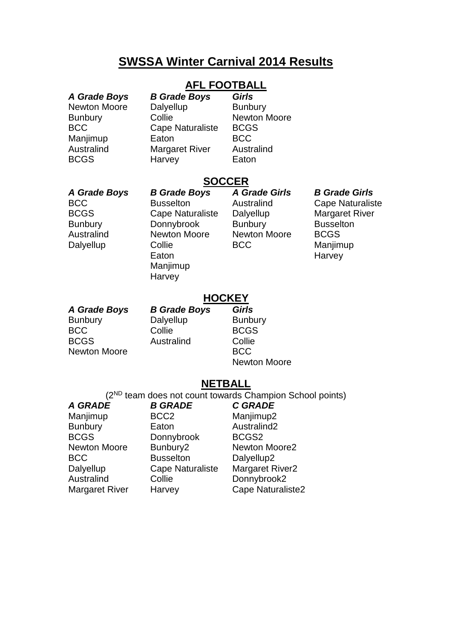# **SWSSA Winter Carnival 2014 Results**

# **AFL FOOTBALL**

| A Grade Boys |  |
|--------------|--|
| Newton Moore |  |
| Bunbury      |  |
| BCC          |  |
| Manjimup     |  |
| Australind   |  |
| BCGS         |  |

*A Grade Boys B Grade Boys Girls* Dalyellup **Bunbury** Collie Newton Moore Cape Naturaliste BCGS Faton BCC Margaret River Australind Harvey **Eaton** 

## **SOCCER**

*A Grade Boys B Grade Boys A Grade Girls B Grade Girls* BCC Busselton Australind Cape Naturaliste BCGS Cape Naturaliste Dalyellup Margaret River Bunbury Donnybrook Bunbury Busselton Australind Newton Moore Newton Moore BCGS Dalyellup Collie BCC Manjimup<br>Eaton Eaton Harvey Manjimup **Harvey** 

Harvey

### **HOCKEY**

| A Grade Boys        | <b>B Grade Boys</b> | <b>Girls</b>        |
|---------------------|---------------------|---------------------|
| <b>Bunbury</b>      | Dalyellup           | <b>Bunbury</b>      |
| BCC                 | Collie              | <b>BCGS</b>         |
| <b>BCGS</b>         | Australind          | Collie              |
| <b>Newton Moore</b> |                     | <b>BCC</b>          |
|                     |                     | <b>Newton Moore</b> |

### **NETBALL**

(2ND team does not count towards Champion School points)

| A GRADE             | <b>B GRADE</b>          | <b>C GRADE</b>          |
|---------------------|-------------------------|-------------------------|
| Manjimup            | BCC <sub>2</sub>        | Manjimup2               |
| <b>Bunbury</b>      | Eaton                   | Australind <sub>2</sub> |
| <b>BCGS</b>         | Donnybrook              | BCGS <sub>2</sub>       |
| <b>Newton Moore</b> | Bunbury2                | Newton Moore2           |
| BCC                 | <b>Busselton</b>        | Dalyellup2              |
| Dalyellup           | <b>Cape Naturaliste</b> | <b>Margaret River2</b>  |
| <b>Australind</b>   | Collie                  | Donnybrook2             |
| Margaret River      | Harvey                  | Cape Naturaliste2       |
|                     |                         |                         |